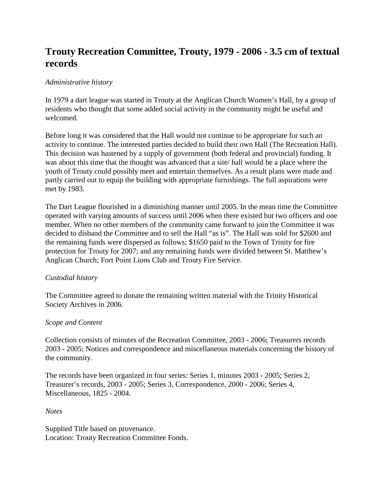# **Trouty Recreation Committee, Trouty, 1979 - 2006 - 3.5 cm of textual records**

# *Administrative history*

In 1979 a dart league was started in Trouty at the Anglican Church Women's Hall, by a group of residents who thought that some added social activity in the community might be useful and welcomed.

Before long it was considered that the Hall would not continue to be appropriate for such an activity to continue. The interested parties decided to build their own Hall (The Recreation Hall). This decision was hastened by a supply of government (both federal and provincial) funding. It was about this time that the thought was advanced that a site/ hall would be a place where the youth of Trouty could possibly meet and entertain themselves. As a result plans were made and partly carried out to equip the building with appropriate furnishings. The full aspirations were met by 1983.

The Dart League flourished in a diminishing manner until 2005. In the mean time the Committee operated with varying amounts of success until 2006 when there existed but two officers and one member. When no other members of the community came forward to join the Committee it was decided to disband the Committee and to sell the Hall "as is". The Hall was sold for \$2600 and the remaining funds were dispersed as follows; \$1650 paid to the Town of Trinity for fire protection for Trouty for 2007; and any remaining funds were divided between St. Matthew's Anglican Church; Fort Point Lions Club and Trouty Fire Service.

## *Custodial history*

The Committee agreed to donate the remaining written material with the Trinity Historical Society Archives in 2006.

## *Scope and Content*

Collection consists of minutes of the Recreation Committee, 2003 - 2006; Treasurers records 2003 - 2005; Notices and correspondence and miscellaneous materials concerning the history of the community.

The records have been organized in four series: Series 1, minutes 2003 - 2005; Series 2, Treasurer's records, 2003 - 2005; Series 3, Correspondence, 2000 - 2006; Series 4, Miscellaneous, 1825 - 2004.

*Notes*

Supplied Title based on provenance. Location: Trouty Recreation Committee Fonds.